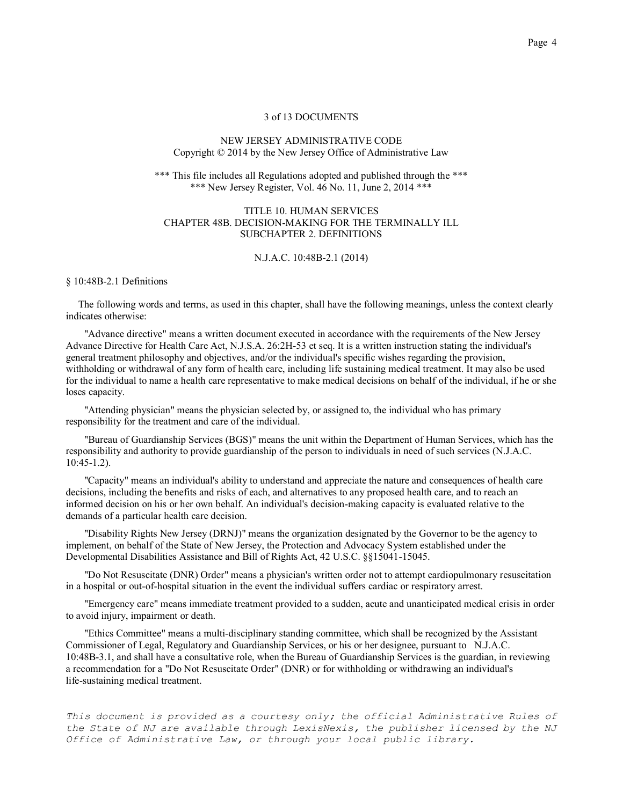## NEW JERSEY ADMINISTRATIVE CODE Copyright © 2014 by the New Jersey Office of Administrative Law

\*\*\* This file includes all Regulations adopted and published through the \*\*\* \*\*\* New Jersey Register, Vol. 46 No. 11, June 2, 2014 \*\*\*

# TITLE 10. HUMAN SERVICES CHAPTER 48B. DECISION-MAKING FOR THE TERMINALLY ILL SUBCHAPTER 2. DEFINITIONS

#### N.J.A.C. 10:48B-2.1 (2014)

#### § 10:48B-2.1 Definitions

 The following words and terms, as used in this chapter, shall have the following meanings, unless the context clearly indicates otherwise:

"Advance directive" means a written document executed in accordance with the requirements of the New Jersey Advance Directive for Health Care Act, N.J.S.A. 26:2H-53 et seq. It is a written instruction stating the individual's general treatment philosophy and objectives, and/or the individual's specific wishes regarding the provision, withholding or withdrawal of any form of health care, including life sustaining medical treatment. It may also be used for the individual to name a health care representative to make medical decisions on behalf of the individual, if he or she loses capacity.

"Attending physician" means the physician selected by, or assigned to, the individual who has primary responsibility for the treatment and care of the individual.

"Bureau of Guardianship Services (BGS)" means the unit within the Department of Human Services, which has the responsibility and authority to provide guardianship of the person to individuals in need of such services (N.J.A.C. 10:45-1.2).

"Capacity" means an individual's ability to understand and appreciate the nature and consequences of health care decisions, including the benefits and risks of each, and alternatives to any proposed health care, and to reach an informed decision on his or her own behalf. An individual's decision-making capacity is evaluated relative to the demands of a particular health care decision.

"Disability Rights New Jersey (DRNJ)" means the organization designated by the Governor to be the agency to implement, on behalf of the State of New Jersey, the Protection and Advocacy System established under the Developmental Disabilities Assistance and Bill of Rights Act, 42 U.S.C. §§15041-15045.

"Do Not Resuscitate (DNR) Order" means a physician's written order not to attempt cardiopulmonary resuscitation in a hospital or out-of-hospital situation in the event the individual suffers cardiac or respiratory arrest.

"Emergency care" means immediate treatment provided to a sudden, acute and unanticipated medical crisis in order to avoid injury, impairment or death.

"Ethics Committee" means a multi-disciplinary standing committee, which shall be recognized by the Assistant Commissioner of Legal, Regulatory and Guardianship Services, or his or her designee, pursuant to N.J.A.C. 10:48B-3.1, and shall have a consultative role, when the Bureau of Guardianship Services is the guardian, in reviewing a recommendation for a "Do Not Resuscitate Order" (DNR) or for withholding or withdrawing an individual's life-sustaining medical treatment.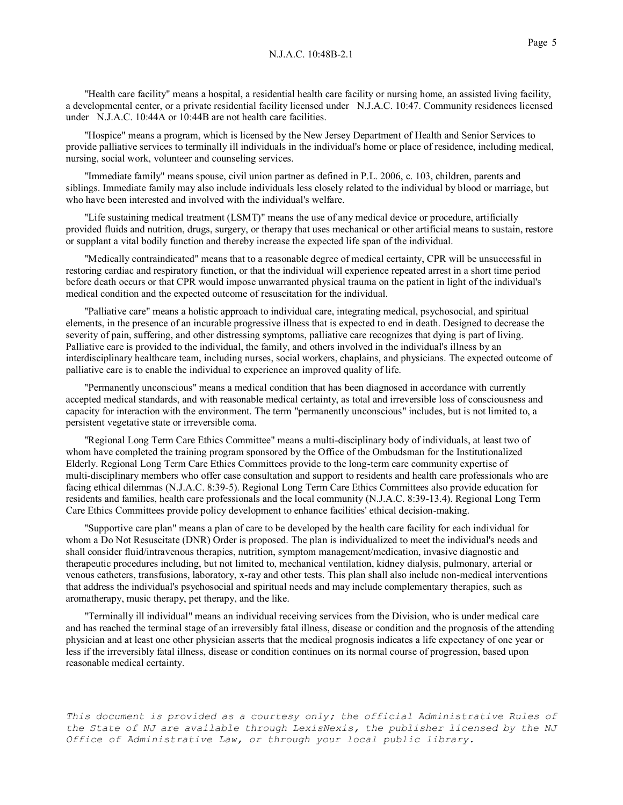"Health care facility" means a hospital, a residential health care facility or nursing home, an assisted living facility, a developmental center, or a private residential facility licensed under N.J.A.C. 10:47. Community residences licensed under N.J.A.C. 10:44A or 10:44B are not health care facilities.

"Hospice" means a program, which is licensed by the New Jersey Department of Health and Senior Services to provide palliative services to terminally ill individuals in the individual's home or place of residence, including medical, nursing, social work, volunteer and counseling services.

"Immediate family" means spouse, civil union partner as defined in P.L. 2006, c. 103, children, parents and siblings. Immediate family may also include individuals less closely related to the individual by blood or marriage, but who have been interested and involved with the individual's welfare.

"Life sustaining medical treatment (LSMT)" means the use of any medical device or procedure, artificially provided fluids and nutrition, drugs, surgery, or therapy that uses mechanical or other artificial means to sustain, restore or supplant a vital bodily function and thereby increase the expected life span of the individual.

"Medically contraindicated" means that to a reasonable degree of medical certainty, CPR will be unsuccessful in restoring cardiac and respiratory function, or that the individual will experience repeated arrest in a short time period before death occurs or that CPR would impose unwarranted physical trauma on the patient in light of the individual's medical condition and the expected outcome of resuscitation for the individual.

"Palliative care" means a holistic approach to individual care, integrating medical, psychosocial, and spiritual elements, in the presence of an incurable progressive illness that is expected to end in death. Designed to decrease the severity of pain, suffering, and other distressing symptoms, palliative care recognizes that dying is part of living. Palliative care is provided to the individual, the family, and others involved in the individual's illness by an interdisciplinary healthcare team, including nurses, social workers, chaplains, and physicians. The expected outcome of palliative care is to enable the individual to experience an improved quality of life.

"Permanently unconscious" means a medical condition that has been diagnosed in accordance with currently accepted medical standards, and with reasonable medical certainty, as total and irreversible loss of consciousness and capacity for interaction with the environment. The term "permanently unconscious" includes, but is not limited to, a persistent vegetative state or irreversible coma.

"Regional Long Term Care Ethics Committee" means a multi-disciplinary body of individuals, at least two of whom have completed the training program sponsored by the Office of the Ombudsman for the Institutionalized Elderly. Regional Long Term Care Ethics Committees provide to the long-term care community expertise of multi-disciplinary members who offer case consultation and support to residents and health care professionals who are facing ethical dilemmas (N.J.A.C. 8:39-5). Regional Long Term Care Ethics Committees also provide education for residents and families, health care professionals and the local community (N.J.A.C. 8:39-13.4). Regional Long Term Care Ethics Committees provide policy development to enhance facilities' ethical decision-making.

"Supportive care plan" means a plan of care to be developed by the health care facility for each individual for whom a Do Not Resuscitate (DNR) Order is proposed. The plan is individualized to meet the individual's needs and shall consider fluid/intravenous therapies, nutrition, symptom management/medication, invasive diagnostic and therapeutic procedures including, but not limited to, mechanical ventilation, kidney dialysis, pulmonary, arterial or venous catheters, transfusions, laboratory, x-ray and other tests. This plan shall also include non-medical interventions that address the individual's psychosocial and spiritual needs and may include complementary therapies, such as aromatherapy, music therapy, pet therapy, and the like.

"Terminally ill individual" means an individual receiving services from the Division, who is under medical care and has reached the terminal stage of an irreversibly fatal illness, disease or condition and the prognosis of the attending physician and at least one other physician asserts that the medical prognosis indicates a life expectancy of one year or less if the irreversibly fatal illness, disease or condition continues on its normal course of progression, based upon reasonable medical certainty.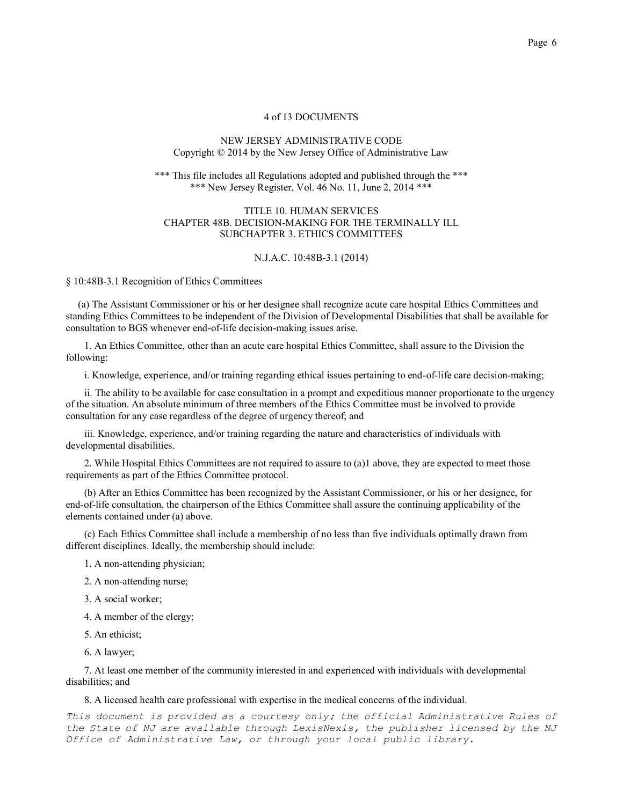## NEW JERSEY ADMINISTRATIVE CODE Copyright © 2014 by the New Jersey Office of Administrative Law

#### \*\*\* This file includes all Regulations adopted and published through the \*\*\* \*\*\* New Jersey Register, Vol. 46 No. 11, June 2, 2014 \*\*\*

#### TITLE 10. HUMAN SERVICES CHAPTER 48B. DECISION-MAKING FOR THE TERMINALLY ILL SUBCHAPTER 3. ETHICS COMMITTEES

#### N.J.A.C. 10:48B-3.1 (2014)

§ 10:48B-3.1 Recognition of Ethics Committees

 (a) The Assistant Commissioner or his or her designee shall recognize acute care hospital Ethics Committees and standing Ethics Committees to be independent of the Division of Developmental Disabilities that shall be available for consultation to BGS whenever end-of-life decision-making issues arise.

1. An Ethics Committee, other than an acute care hospital Ethics Committee, shall assure to the Division the following:

i. Knowledge, experience, and/or training regarding ethical issues pertaining to end-of-life care decision-making;

ii. The ability to be available for case consultation in a prompt and expeditious manner proportionate to the urgency of the situation. An absolute minimum of three members of the Ethics Committee must be involved to provide consultation for any case regardless of the degree of urgency thereof; and

iii. Knowledge, experience, and/or training regarding the nature and characteristics of individuals with developmental disabilities.

2. While Hospital Ethics Committees are not required to assure to (a)1 above, they are expected to meet those requirements as part of the Ethics Committee protocol.

(b) After an Ethics Committee has been recognized by the Assistant Commissioner, or his or her designee, for end-of-life consultation, the chairperson of the Ethics Committee shall assure the continuing applicability of the elements contained under (a) above.

(c) Each Ethics Committee shall include a membership of no less than five individuals optimally drawn from different disciplines. Ideally, the membership should include:

1. A non-attending physician;

2. A non-attending nurse;

3. A social worker;

4. A member of the clergy;

5. An ethicist;

6. A lawyer;

7. At least one member of the community interested in and experienced with individuals with developmental disabilities; and

8. A licensed health care professional with expertise in the medical concerns of the individual.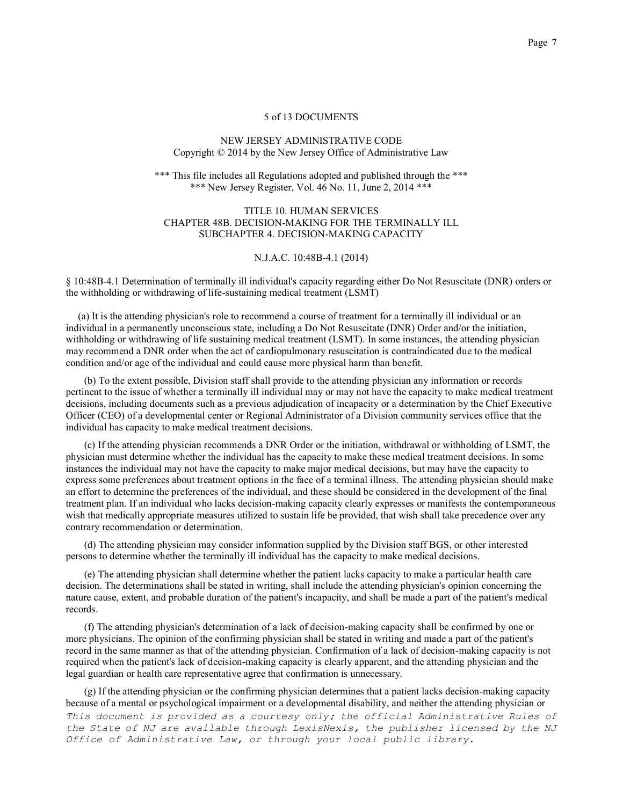# NEW JERSEY ADMINISTRATIVE CODE Copyright © 2014 by the New Jersey Office of Administrative Law

\*\*\* This file includes all Regulations adopted and published through the \*\*\* \*\*\* New Jersey Register, Vol. 46 No. 11, June 2, 2014 \*\*\*

# TITLE 10. HUMAN SERVICES CHAPTER 48B. DECISION-MAKING FOR THE TERMINALLY ILL SUBCHAPTER 4. DECISION-MAKING CAPACITY

#### N.J.A.C. 10:48B-4.1 (2014)

§ 10:48B-4.1 Determination of terminally ill individual's capacity regarding either Do Not Resuscitate (DNR) orders or the withholding or withdrawing of life-sustaining medical treatment (LSMT)

 (a) It is the attending physician's role to recommend a course of treatment for a terminally ill individual or an individual in a permanently unconscious state, including a Do Not Resuscitate (DNR) Order and/or the initiation, withholding or withdrawing of life sustaining medical treatment (LSMT). In some instances, the attending physician may recommend a DNR order when the act of cardiopulmonary resuscitation is contraindicated due to the medical condition and/or age of the individual and could cause more physical harm than benefit.

(b) To the extent possible, Division staff shall provide to the attending physician any information or records pertinent to the issue of whether a terminally ill individual may or may not have the capacity to make medical treatment decisions, including documents such as a previous adjudication of incapacity or a determination by the Chief Executive Officer (CEO) of a developmental center or Regional Administrator of a Division community services office that the individual has capacity to make medical treatment decisions.

(c) If the attending physician recommends a DNR Order or the initiation, withdrawal or withholding of LSMT, the physician must determine whether the individual has the capacity to make these medical treatment decisions. In some instances the individual may not have the capacity to make major medical decisions, but may have the capacity to express some preferences about treatment options in the face of a terminal illness. The attending physician should make an effort to determine the preferences of the individual, and these should be considered in the development of the final treatment plan. If an individual who lacks decision-making capacity clearly expresses or manifests the contemporaneous wish that medically appropriate measures utilized to sustain life be provided, that wish shall take precedence over any contrary recommendation or determination.

(d) The attending physician may consider information supplied by the Division staff BGS, or other interested persons to determine whether the terminally ill individual has the capacity to make medical decisions.

(e) The attending physician shall determine whether the patient lacks capacity to make a particular health care decision. The determinations shall be stated in writing, shall include the attending physician's opinion concerning the nature cause, extent, and probable duration of the patient's incapacity, and shall be made a part of the patient's medical records.

(f) The attending physician's determination of a lack of decision-making capacity shall be confirmed by one or more physicians. The opinion of the confirming physician shall be stated in writing and made a part of the patient's record in the same manner as that of the attending physician. Confirmation of a lack of decision-making capacity is not required when the patient's lack of decision-making capacity is clearly apparent, and the attending physician and the legal guardian or health care representative agree that confirmation is unnecessary.

*This document is provided as a courtesy only; the official Administrative Rules of the State of NJ are available through LexisNexis, the publisher licensed by the NJ Office of Administrative Law, or through your local public library.* (g) If the attending physician or the confirming physician determines that a patient lacks decision-making capacity because of a mental or psychological impairment or a developmental disability, and neither the attending physician or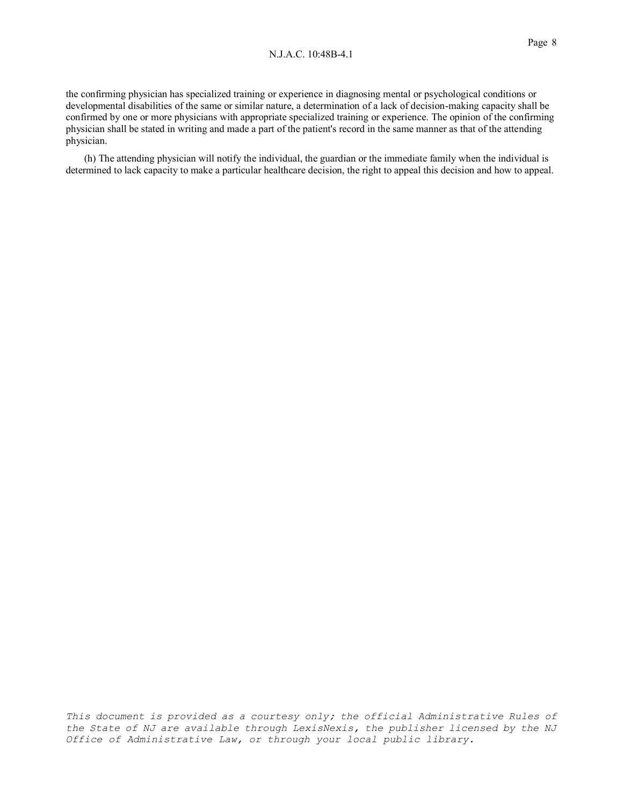#### N.J.A.C. 10:48B-4.1

the confirming physician has specialized training or experience in diagnosing mental or psychological conditions or developmental disabilities of the same or similar nature, a determination of a lack of decision-making capacity shall be confirmed by one or more physicians with appropriate specialized training or experience. The opinion of the confirming physician shall be stated in writing and made a part of the patient's record in the same manner as that of the attending physician.

(h) The attending physician will notify the individual, the guardian or the immediate family when the individual is determined to lack capacity to make a particular healthcare decision, the right to appeal this decision and how to appeal.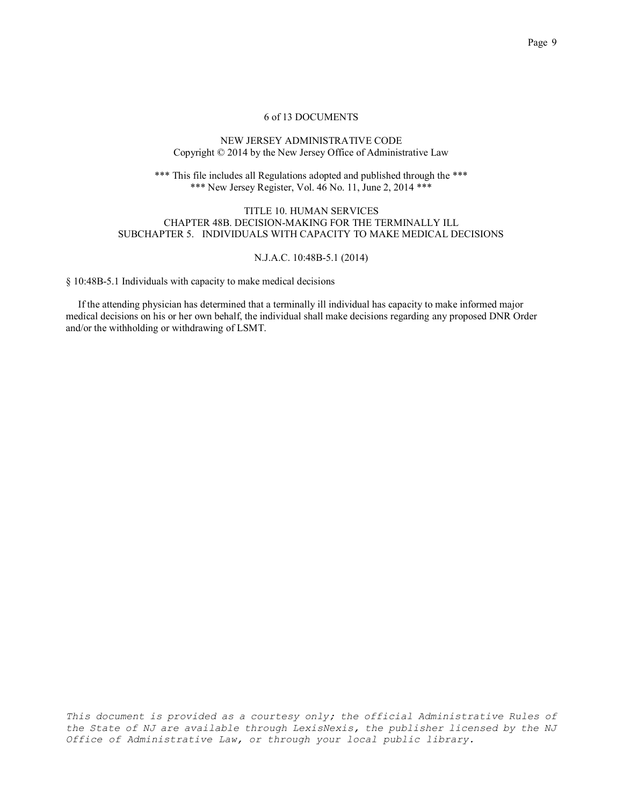# NEW JERSEY ADMINISTRATIVE CODE Copyright © 2014 by the New Jersey Office of Administrative Law

\*\*\* This file includes all Regulations adopted and published through the \*\*\* \*\*\* New Jersey Register, Vol. 46 No. 11, June 2, 2014 \*\*\*

# TITLE 10. HUMAN SERVICES CHAPTER 48B. DECISION-MAKING FOR THE TERMINALLY ILL SUBCHAPTER 5. INDIVIDUALS WITH CAPACITY TO MAKE MEDICAL DECISIONS

# N.J.A.C. 10:48B-5.1 (2014)

§ 10:48B-5.1 Individuals with capacity to make medical decisions

 If the attending physician has determined that a terminally ill individual has capacity to make informed major medical decisions on his or her own behalf, the individual shall make decisions regarding any proposed DNR Order and/or the withholding or withdrawing of LSMT.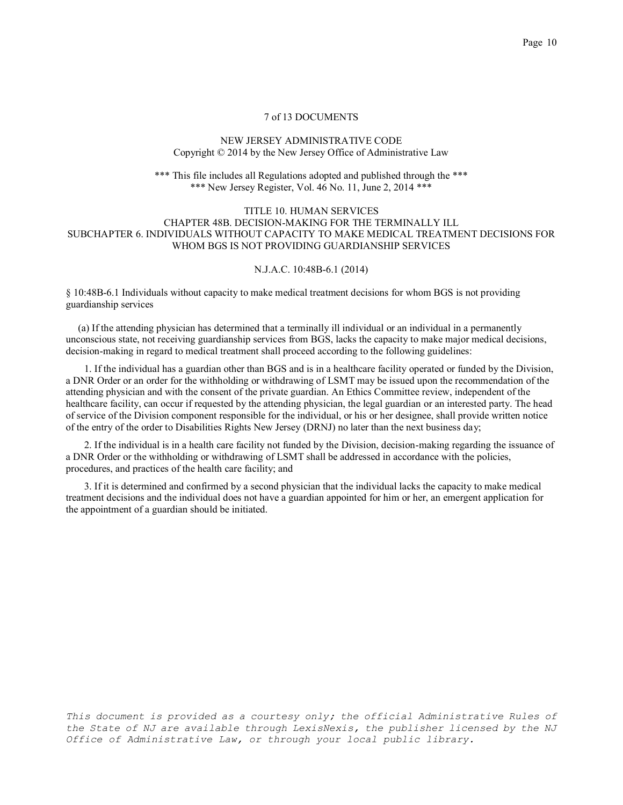## NEW JERSEY ADMINISTRATIVE CODE Copyright © 2014 by the New Jersey Office of Administrative Law

\*\*\* This file includes all Regulations adopted and published through the \*\*\* \*\*\* New Jersey Register, Vol. 46 No. 11, June 2, 2014 \*\*\*

# TITLE 10. HUMAN SERVICES CHAPTER 48B. DECISION-MAKING FOR THE TERMINALLY ILL SUBCHAPTER 6. INDIVIDUALS WITHOUT CAPACITY TO MAKE MEDICAL TREATMENT DECISIONS FOR WHOM BGS IS NOT PROVIDING GUARDIANSHIP SERVICES

# N.J.A.C. 10:48B-6.1 (2014)

§ 10:48B-6.1 Individuals without capacity to make medical treatment decisions for whom BGS is not providing guardianship services

 (a) If the attending physician has determined that a terminally ill individual or an individual in a permanently unconscious state, not receiving guardianship services from BGS, lacks the capacity to make major medical decisions, decision-making in regard to medical treatment shall proceed according to the following guidelines:

1. If the individual has a guardian other than BGS and is in a healthcare facility operated or funded by the Division, a DNR Order or an order for the withholding or withdrawing of LSMT may be issued upon the recommendation of the attending physician and with the consent of the private guardian. An Ethics Committee review, independent of the healthcare facility, can occur if requested by the attending physician, the legal guardian or an interested party. The head of service of the Division component responsible for the individual, or his or her designee, shall provide written notice of the entry of the order to Disabilities Rights New Jersey (DRNJ) no later than the next business day;

2. If the individual is in a health care facility not funded by the Division, decision-making regarding the issuance of a DNR Order or the withholding or withdrawing of LSMT shall be addressed in accordance with the policies, procedures, and practices of the health care facility; and

3. If it is determined and confirmed by a second physician that the individual lacks the capacity to make medical treatment decisions and the individual does not have a guardian appointed for him or her, an emergent application for the appointment of a guardian should be initiated.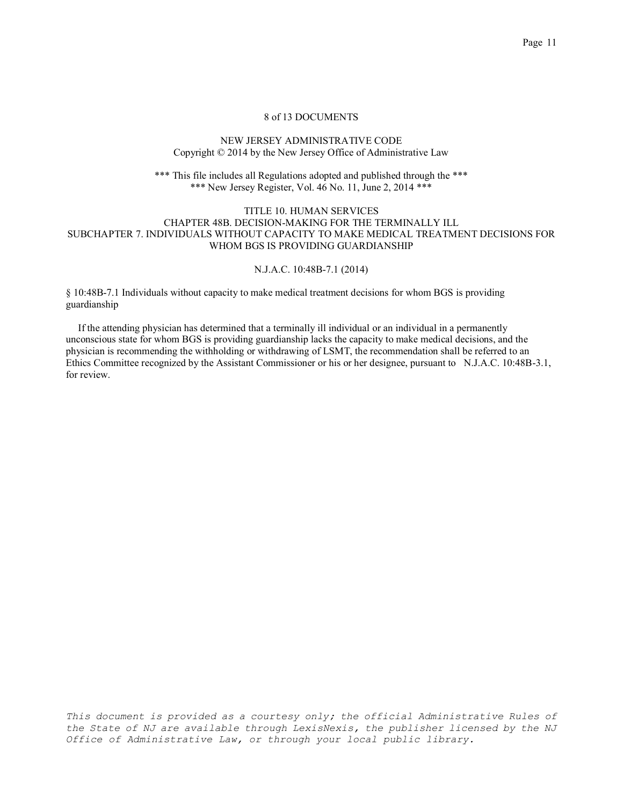## NEW JERSEY ADMINISTRATIVE CODE Copyright © 2014 by the New Jersey Office of Administrative Law

\*\*\* This file includes all Regulations adopted and published through the \*\*\* \*\*\* New Jersey Register, Vol. 46 No. 11, June 2, 2014 \*\*\*

# TITLE 10. HUMAN SERVICES CHAPTER 48B. DECISION-MAKING FOR THE TERMINALLY ILL SUBCHAPTER 7. INDIVIDUALS WITHOUT CAPACITY TO MAKE MEDICAL TREATMENT DECISIONS FOR WHOM BGS IS PROVIDING GUARDIANSHIP

## N.J.A.C. 10:48B-7.1 (2014)

§ 10:48B-7.1 Individuals without capacity to make medical treatment decisions for whom BGS is providing guardianship

 If the attending physician has determined that a terminally ill individual or an individual in a permanently unconscious state for whom BGS is providing guardianship lacks the capacity to make medical decisions, and the physician is recommending the withholding or withdrawing of LSMT, the recommendation shall be referred to an Ethics Committee recognized by the Assistant Commissioner or his or her designee, pursuant to N.J.A.C. 10:48B-3.1, for review.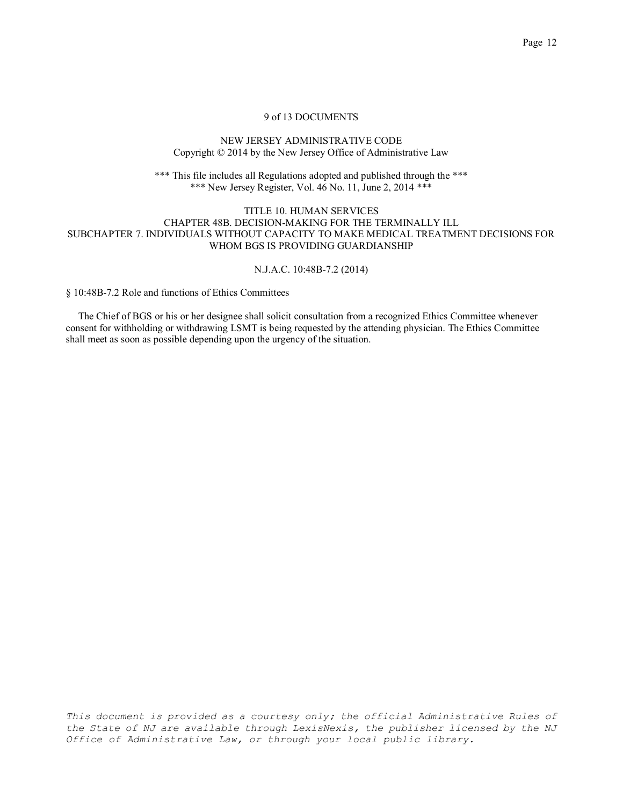# NEW JERSEY ADMINISTRATIVE CODE Copyright © 2014 by the New Jersey Office of Administrative Law

\*\*\* This file includes all Regulations adopted and published through the \*\*\* \*\*\* New Jersey Register, Vol. 46 No. 11, June 2, 2014 \*\*\*

# TITLE 10. HUMAN SERVICES CHAPTER 48B. DECISION-MAKING FOR THE TERMINALLY ILL SUBCHAPTER 7. INDIVIDUALS WITHOUT CAPACITY TO MAKE MEDICAL TREATMENT DECISIONS FOR WHOM BGS IS PROVIDING GUARDIANSHIP

#### N.J.A.C. 10:48B-7.2 (2014)

§ 10:48B-7.2 Role and functions of Ethics Committees

 The Chief of BGS or his or her designee shall solicit consultation from a recognized Ethics Committee whenever consent for withholding or withdrawing LSMT is being requested by the attending physician. The Ethics Committee shall meet as soon as possible depending upon the urgency of the situation.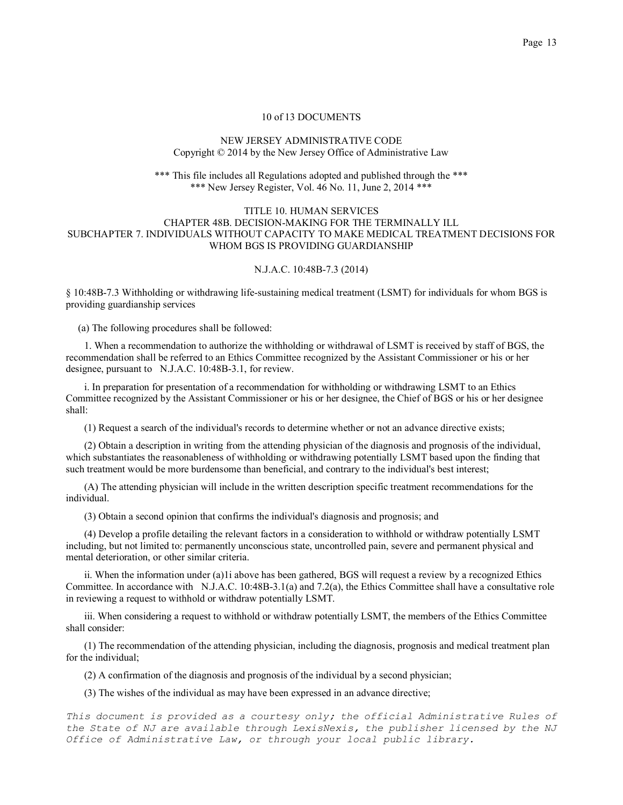## NEW JERSEY ADMINISTRATIVE CODE Copyright © 2014 by the New Jersey Office of Administrative Law

#### \*\*\* This file includes all Regulations adopted and published through the \*\*\* \*\*\* New Jersey Register, Vol. 46 No. 11, June 2, 2014 \*\*\*

## TITLE 10. HUMAN SERVICES CHAPTER 48B. DECISION-MAKING FOR THE TERMINALLY ILL SUBCHAPTER 7. INDIVIDUALS WITHOUT CAPACITY TO MAKE MEDICAL TREATMENT DECISIONS FOR WHOM BGS IS PROVIDING GUARDIANSHIP

# N.J.A.C. 10:48B-7.3 (2014)

§ 10:48B-7.3 Withholding or withdrawing life-sustaining medical treatment (LSMT) for individuals for whom BGS is providing guardianship services

(a) The following procedures shall be followed:

1. When a recommendation to authorize the withholding or withdrawal of LSMT is received by staff of BGS, the recommendation shall be referred to an Ethics Committee recognized by the Assistant Commissioner or his or her designee, pursuant to N.J.A.C. 10:48B-3.1, for review.

i. In preparation for presentation of a recommendation for withholding or withdrawing LSMT to an Ethics Committee recognized by the Assistant Commissioner or his or her designee, the Chief of BGS or his or her designee shall:

(1) Request a search of the individual's records to determine whether or not an advance directive exists;

(2) Obtain a description in writing from the attending physician of the diagnosis and prognosis of the individual, which substantiates the reasonableness of withholding or withdrawing potentially LSMT based upon the finding that such treatment would be more burdensome than beneficial, and contrary to the individual's best interest;

(A) The attending physician will include in the written description specific treatment recommendations for the individual.

(3) Obtain a second opinion that confirms the individual's diagnosis and prognosis; and

(4) Develop a profile detailing the relevant factors in a consideration to withhold or withdraw potentially LSMT including, but not limited to: permanently unconscious state, uncontrolled pain, severe and permanent physical and mental deterioration, or other similar criteria.

ii. When the information under (a)1i above has been gathered, BGS will request a review by a recognized Ethics Committee. In accordance with N.J.A.C. 10:48B-3.1(a) and 7.2(a), the Ethics Committee shall have a consultative role in reviewing a request to withhold or withdraw potentially LSMT.

iii. When considering a request to withhold or withdraw potentially LSMT, the members of the Ethics Committee shall consider:

(1) The recommendation of the attending physician, including the diagnosis, prognosis and medical treatment plan for the individual;

(2) A confirmation of the diagnosis and prognosis of the individual by a second physician;

(3) The wishes of the individual as may have been expressed in an advance directive;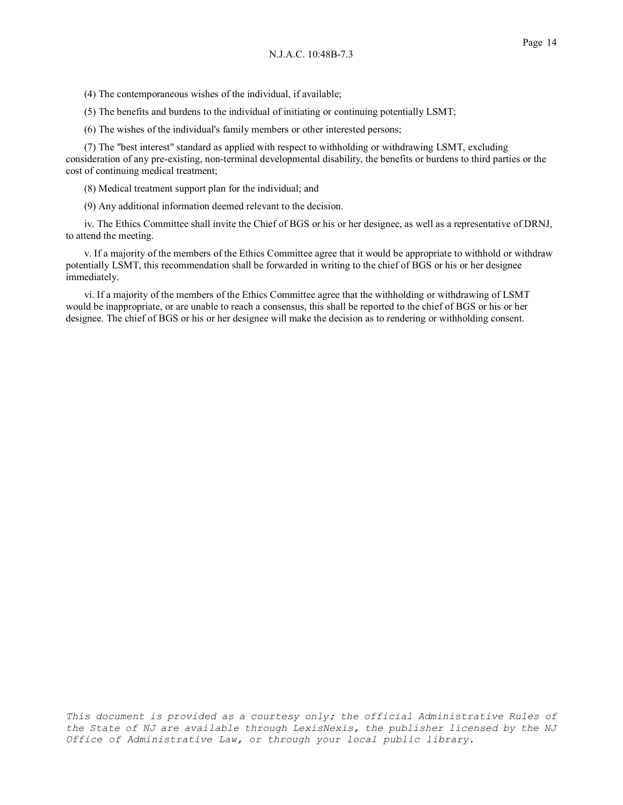(4) The contemporaneous wishes of the individual, if available;

(5) The benefits and burdens to the individual of initiating or continuing potentially LSMT;

(6) The wishes of the individual's family members or other interested persons;

(7) The "best interest" standard as applied with respect to withholding or withdrawing LSMT, excluding consideration of any pre-existing, non-terminal developmental disability, the benefits or burdens to third parties or the cost of continuing medical treatment;

(8) Medical treatment support plan for the individual; and

(9) Any additional information deemed relevant to the decision.

iv. The Ethics Committee shall invite the Chief of BGS or his or her designee, as well as a representative of DRNJ, to attend the meeting.

v. If a majority of the members of the Ethics Committee agree that it would be appropriate to withhold or withdraw potentially LSMT, this recommendation shall be forwarded in writing to the chief of BGS or his or her designee immediately.

vi. If a majority of the members of the Ethics Committee agree that the withholding or withdrawing of LSMT would be inappropriate, or are unable to reach a consensus, this shall be reported to the chief of BGS or his or her designee. The chief of BGS or his or her designee will make the decision as to rendering or withholding consent.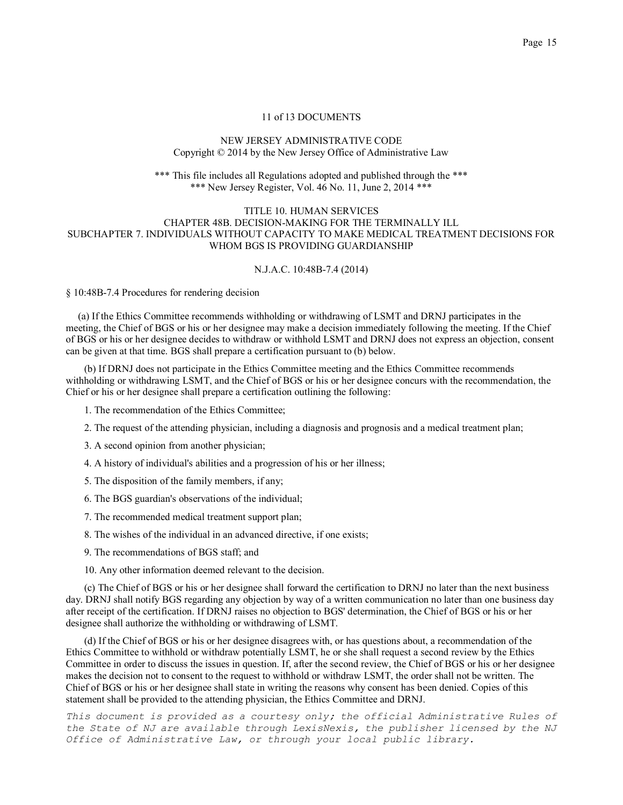## NEW JERSEY ADMINISTRATIVE CODE Copyright © 2014 by the New Jersey Office of Administrative Law

#### \*\*\* This file includes all Regulations adopted and published through the \*\*\* \*\*\* New Jersey Register, Vol. 46 No. 11, June 2, 2014 \*\*\*

# TITLE 10. HUMAN SERVICES CHAPTER 48B. DECISION-MAKING FOR THE TERMINALLY ILL SUBCHAPTER 7. INDIVIDUALS WITHOUT CAPACITY TO MAKE MEDICAL TREATMENT DECISIONS FOR WHOM BGS IS PROVIDING GUARDIANSHIP

#### N.J.A.C. 10:48B-7.4 (2014)

§ 10:48B-7.4 Procedures for rendering decision

 (a) If the Ethics Committee recommends withholding or withdrawing of LSMT and DRNJ participates in the meeting, the Chief of BGS or his or her designee may make a decision immediately following the meeting. If the Chief of BGS or his or her designee decides to withdraw or withhold LSMT and DRNJ does not express an objection, consent can be given at that time. BGS shall prepare a certification pursuant to (b) below.

(b) If DRNJ does not participate in the Ethics Committee meeting and the Ethics Committee recommends withholding or withdrawing LSMT, and the Chief of BGS or his or her designee concurs with the recommendation, the Chief or his or her designee shall prepare a certification outlining the following:

- 1. The recommendation of the Ethics Committee;
- 2. The request of the attending physician, including a diagnosis and prognosis and a medical treatment plan;
- 3. A second opinion from another physician;
- 4. A history of individual's abilities and a progression of his or her illness;
- 5. The disposition of the family members, if any;
- 6. The BGS guardian's observations of the individual;
- 7. The recommended medical treatment support plan;
- 8. The wishes of the individual in an advanced directive, if one exists;
- 9. The recommendations of BGS staff; and
- 10. Any other information deemed relevant to the decision.

(c) The Chief of BGS or his or her designee shall forward the certification to DRNJ no later than the next business day. DRNJ shall notify BGS regarding any objection by way of a written communication no later than one business day after receipt of the certification. If DRNJ raises no objection to BGS' determination, the Chief of BGS or his or her designee shall authorize the withholding or withdrawing of LSMT.

(d) If the Chief of BGS or his or her designee disagrees with, or has questions about, a recommendation of the Ethics Committee to withhold or withdraw potentially LSMT, he or she shall request a second review by the Ethics Committee in order to discuss the issues in question. If, after the second review, the Chief of BGS or his or her designee makes the decision not to consent to the request to withhold or withdraw LSMT, the order shall not be written. The Chief of BGS or his or her designee shall state in writing the reasons why consent has been denied. Copies of this statement shall be provided to the attending physician, the Ethics Committee and DRNJ.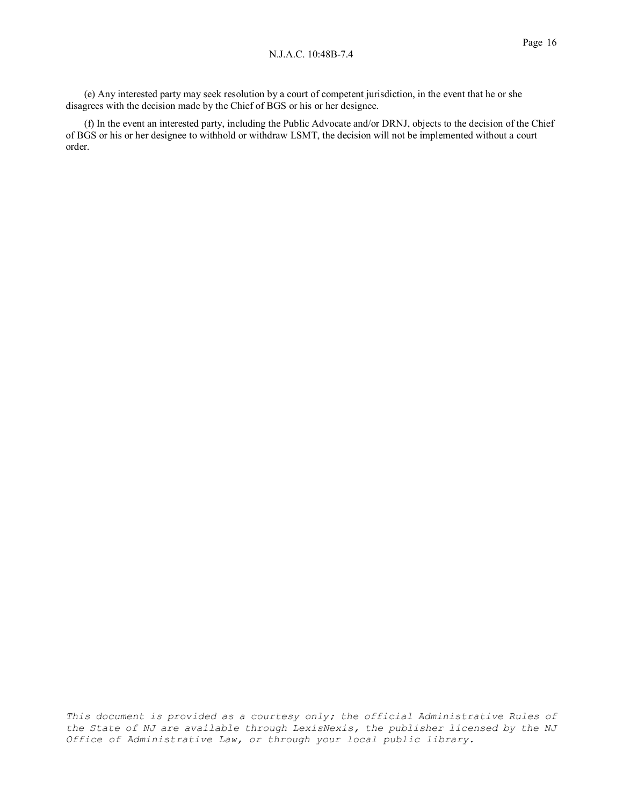(e) Any interested party may seek resolution by a court of competent jurisdiction, in the event that he or she disagrees with the decision made by the Chief of BGS or his or her designee.

(f) In the event an interested party, including the Public Advocate and/or DRNJ, objects to the decision of the Chief of BGS or his or her designee to withhold or withdraw LSMT, the decision will not be implemented without a court order.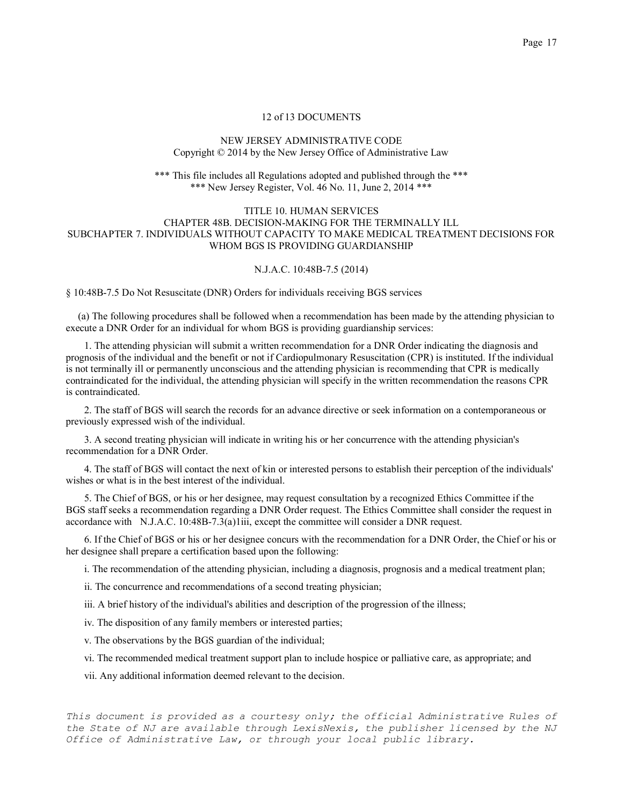### NEW JERSEY ADMINISTRATIVE CODE Copyright © 2014 by the New Jersey Office of Administrative Law

#### \*\*\* This file includes all Regulations adopted and published through the \*\*\* \*\*\* New Jersey Register, Vol. 46 No. 11, June 2, 2014 \*\*\*

## TITLE 10. HUMAN SERVICES CHAPTER 48B. DECISION-MAKING FOR THE TERMINALLY ILL SUBCHAPTER 7. INDIVIDUALS WITHOUT CAPACITY TO MAKE MEDICAL TREATMENT DECISIONS FOR WHOM BGS IS PROVIDING GUARDIANSHIP

# N.J.A.C. 10:48B-7.5 (2014)

§ 10:48B-7.5 Do Not Resuscitate (DNR) Orders for individuals receiving BGS services

 (a) The following procedures shall be followed when a recommendation has been made by the attending physician to execute a DNR Order for an individual for whom BGS is providing guardianship services:

1. The attending physician will submit a written recommendation for a DNR Order indicating the diagnosis and prognosis of the individual and the benefit or not if Cardiopulmonary Resuscitation (CPR) is instituted. If the individual is not terminally ill or permanently unconscious and the attending physician is recommending that CPR is medically contraindicated for the individual, the attending physician will specify in the written recommendation the reasons CPR is contraindicated.

2. The staff of BGS will search the records for an advance directive or seek information on a contemporaneous or previously expressed wish of the individual.

3. A second treating physician will indicate in writing his or her concurrence with the attending physician's recommendation for a DNR Order.

4. The staff of BGS will contact the next of kin or interested persons to establish their perception of the individuals' wishes or what is in the best interest of the individual.

5. The Chief of BGS, or his or her designee, may request consultation by a recognized Ethics Committee if the BGS staff seeks a recommendation regarding a DNR Order request. The Ethics Committee shall consider the request in accordance with N.J.A.C. 10:48B-7.3(a)1iii, except the committee will consider a DNR request.

6. If the Chief of BGS or his or her designee concurs with the recommendation for a DNR Order, the Chief or his or her designee shall prepare a certification based upon the following:

i. The recommendation of the attending physician, including a diagnosis, prognosis and a medical treatment plan;

ii. The concurrence and recommendations of a second treating physician;

iii. A brief history of the individual's abilities and description of the progression of the illness;

iv. The disposition of any family members or interested parties;

v. The observations by the BGS guardian of the individual;

vi. The recommended medical treatment support plan to include hospice or palliative care, as appropriate; and

vii. Any additional information deemed relevant to the decision.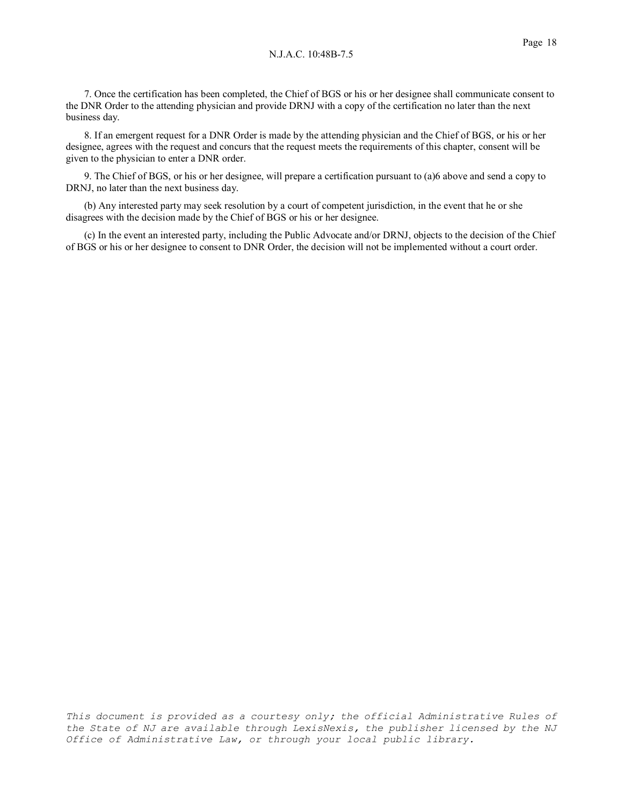7. Once the certification has been completed, the Chief of BGS or his or her designee shall communicate consent to the DNR Order to the attending physician and provide DRNJ with a copy of the certification no later than the next business day.

8. If an emergent request for a DNR Order is made by the attending physician and the Chief of BGS, or his or her designee, agrees with the request and concurs that the request meets the requirements of this chapter, consent will be given to the physician to enter a DNR order.

9. The Chief of BGS, or his or her designee, will prepare a certification pursuant to (a)6 above and send a copy to DRNJ, no later than the next business day.

(b) Any interested party may seek resolution by a court of competent jurisdiction, in the event that he or she disagrees with the decision made by the Chief of BGS or his or her designee.

(c) In the event an interested party, including the Public Advocate and/or DRNJ, objects to the decision of the Chief of BGS or his or her designee to consent to DNR Order, the decision will not be implemented without a court order.